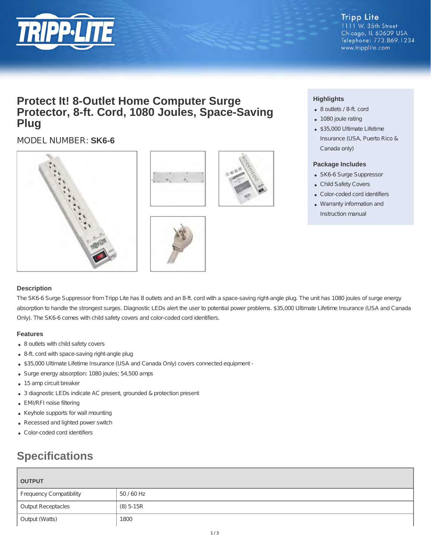

**Tripp Lite** 1111 W. 35th Street Chicago, IL 60609 USA Telephone: 773.869.1234 www.tripplite.com

## **Protect It! 8-Outlet Home Computer Surge Protector, 8-ft. Cord, 1080 Joules, Space-Saving Plug**

### MODEL NUMBER: **SK6-6**









#### **Highlights**

- 8 outlets / 8-ft. cord
- 1080 joule rating
- \$35,000 Ultimate Lifetime Insurance (USA, Puerto Rico & Canada only)

#### **Package Includes**

- SK6-6 Surge Suppressor
- Child Safety Covers
- Color-coded cord identifiers
- Warranty information and Instruction manual

#### **Description**

The SK6-6 Surge Suppressor from Tripp Lite has 8 outlets and an 8-ft. cord with a space-saving right-angle plug. The unit has 1080 joules of surge energy absorption to handle the strongest surges. Diagnostic LEDs alert the user to potential power problems. \$35,000 Ultimate Lifetime Insurance (USA and Canada Only). The SK6-6 comes with child safety covers and color-coded cord identifiers.

#### **Features**

- 8 outlets with child safety covers
- 8-ft. cord with space-saving right-angle plug
- \$35,000 Ultimate Lifetime Insurance (USA and Canada Only) covers connected equipment -
- Surge energy absorption: 1080 joules; 54,500 amps
- 15 amp circuit breaker
- 3 diagnostic LEDs indicate AC present, grounded & protection present
- EMI/RFI noise filtering
- Keyhole supports for wall mounting
- Recessed and lighted power switch
- Color-coded cord identifiers

# **Specifications**

| OUTPUT                         |             |  |
|--------------------------------|-------------|--|
| <b>Frequency Compatibility</b> | 50 / 60 Hz  |  |
| Output Receptacles             | $(8)$ 5-15R |  |
| Output (Watts)                 | 1800        |  |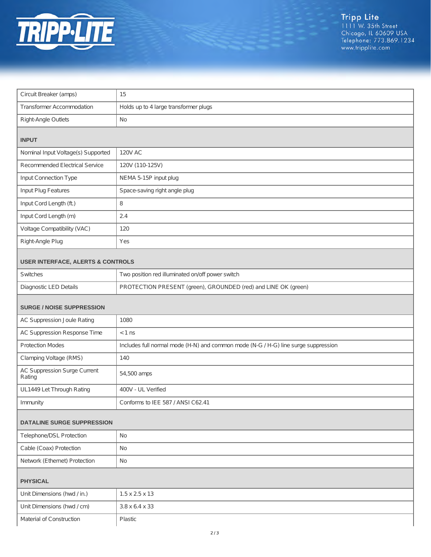

| Circuit Breaker (amps)                       | 15                                                                                 |  |
|----------------------------------------------|------------------------------------------------------------------------------------|--|
| <b>Transformer Accommodation</b>             | Holds up to 4 large transformer plugs                                              |  |
| Right-Angle Outlets                          | No                                                                                 |  |
| <b>INPUT</b>                                 |                                                                                    |  |
| Nominal Input Voltage(s) Supported           | <b>120V AC</b>                                                                     |  |
| Recommended Electrical Service               | 120V (110-125V)                                                                    |  |
| Input Connection Type                        | NEMA 5-15P input plug                                                              |  |
| Input Plug Features                          | Space-saving right angle plug                                                      |  |
| Input Cord Length (ft.)                      | 8                                                                                  |  |
| Input Cord Length (m)                        | 2.4                                                                                |  |
| Voltage Compatibility (VAC)                  | 120                                                                                |  |
| Right-Angle Plug                             | Yes                                                                                |  |
| <b>USER INTERFACE, ALERTS &amp; CONTROLS</b> |                                                                                    |  |
| Switches                                     | Two position red illuminated on/off power switch                                   |  |
| Diagnostic LED Details                       | PROTECTION PRESENT (green), GROUNDED (red) and LINE OK (green)                     |  |
| <b>SURGE / NOISE SUPPRESSION</b>             |                                                                                    |  |
| AC Suppression Joule Rating                  | 1080                                                                               |  |
| AC Suppression Response Time                 | $< 1$ ns                                                                           |  |
| <b>Protection Modes</b>                      | Includes full normal mode (H-N) and common mode (N-G / H-G) line surge suppression |  |
| Clamping Voltage (RMS)                       | 140                                                                                |  |
| AC Suppression Surge Current<br>Rating       | 54,500 amps                                                                        |  |
| UL1449 Let Through Rating                    | 400V - UL Verified                                                                 |  |
| Immunity                                     | Conforms to IEE 587 / ANSI C62.41                                                  |  |
| <b>DATALINE SURGE SUPPRESSION</b>            |                                                                                    |  |
| Telephone/DSL Protection                     | No                                                                                 |  |
| Cable (Coax) Protection                      | No                                                                                 |  |
| Network (Ethernet) Protection                | No                                                                                 |  |
| <b>PHYSICAL</b>                              |                                                                                    |  |
| Unit Dimensions (hwd / in.)                  | $1.5 \times 2.5 \times 13$                                                         |  |
| Unit Dimensions (hwd / cm)                   | $3.8 \times 6.4 \times 33$                                                         |  |
| Material of Construction                     | Plastic                                                                            |  |